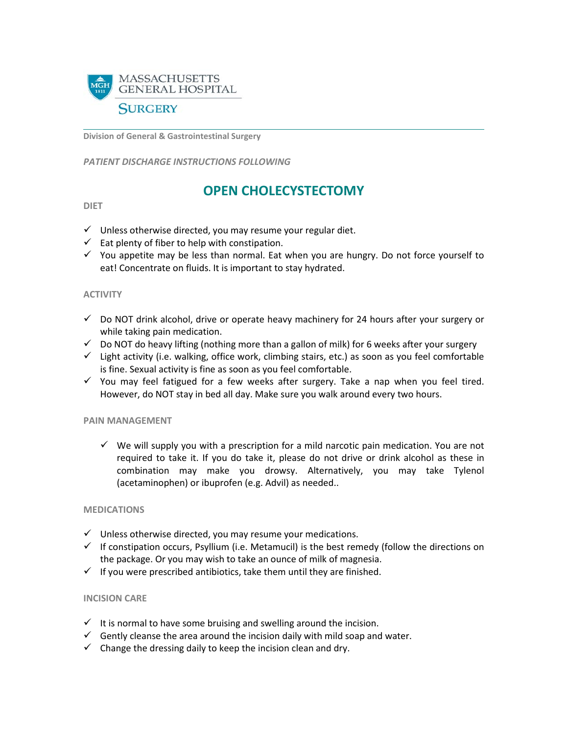

**Division of General & Gastrointestinal Surgery**

*PATIENT DISCHARGE INSTRUCTIONS FOLLOWING* 

# **OPEN CHOLECYSTECTOMY**

#### **DIET**

- $\checkmark$  Unless otherwise directed, you may resume your regular diet.
- $\checkmark$  Eat plenty of fiber to help with constipation.
- $\checkmark$  You appetite may be less than normal. Eat when you are hungry. Do not force yourself to eat! Concentrate on fluids. It is important to stay hydrated.

#### **ACTIVITY**

- $\checkmark$  Do NOT drink alcohol, drive or operate heavy machinery for 24 hours after your surgery or while taking pain medication.
- $\checkmark$  Do NOT do heavy lifting (nothing more than a gallon of milk) for 6 weeks after your surgery
- $\checkmark$  Light activity (i.e. walking, office work, climbing stairs, etc.) as soon as you feel comfortable is fine. Sexual activity is fine as soon as you feel comfortable.
- $\checkmark$  You may feel fatigued for a few weeks after surgery. Take a nap when you feel tired. However, do NOT stay in bed all day. Make sure you walk around every two hours.

#### **PAIN MANAGEMENT**

 $\checkmark$  We will supply you with a prescription for a mild narcotic pain medication. You are not required to take it. If you do take it, please do not drive or drink alcohol as these in combination may make you drowsy. Alternatively, you may take Tylenol (acetaminophen) or ibuprofen (e.g. Advil) as needed..

# **MEDICATIONS**

- $\checkmark$  Unless otherwise directed, you may resume your medications.
- $\checkmark$  If constipation occurs, Psyllium (i.e. Metamucil) is the best remedy (follow the directions on the package. Or you may wish to take an ounce of milk of magnesia.
- $\checkmark$  If you were prescribed antibiotics, take them until they are finished.

# **INCISION CARE**

- $I$  It is normal to have some bruising and swelling around the incision.
- $\checkmark$  Gently cleanse the area around the incision daily with mild soap and water.
- $\checkmark$  Change the dressing daily to keep the incision clean and drv.